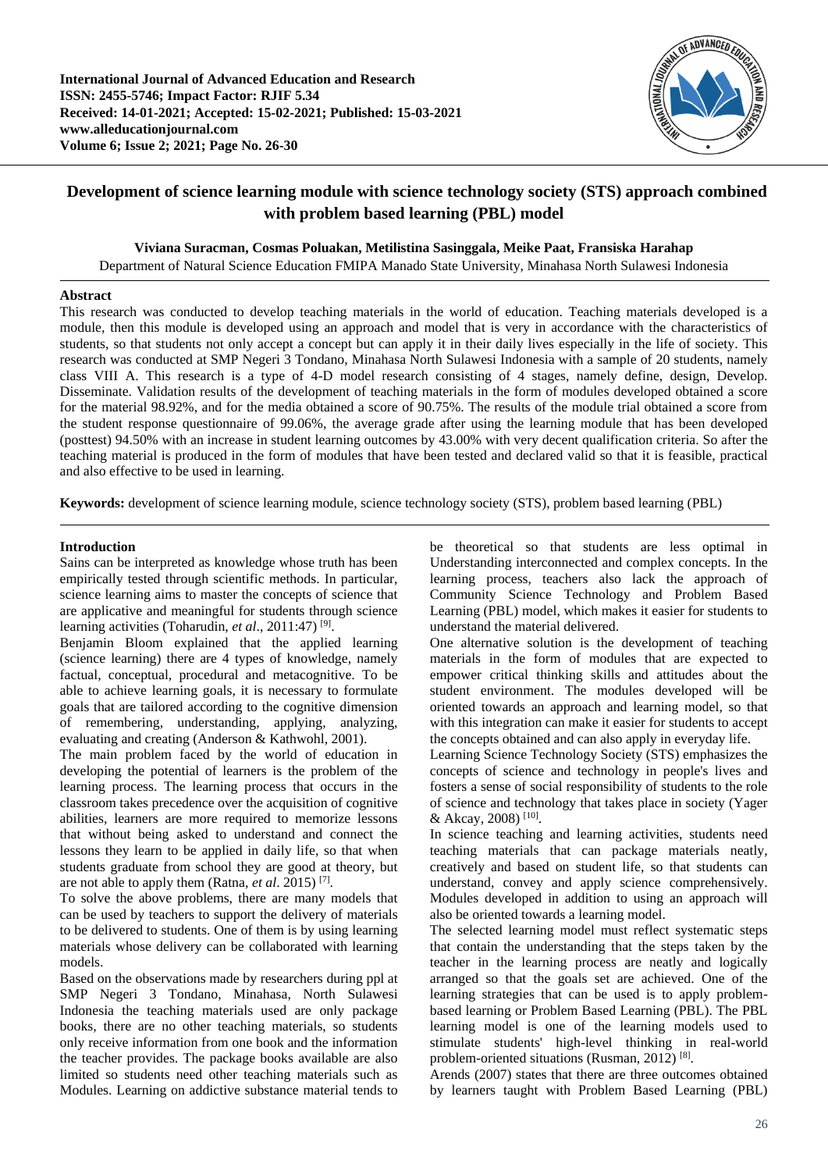

# **Development of science learning module with science technology society (STS) approach combined with problem based learning (PBL) model**

**Viviana Suracman, Cosmas Poluakan, Metilistina Sasinggala, Meike Paat, Fransiska Harahap**

Department of Natural Science Education FMIPA Manado State University, Minahasa North Sulawesi Indonesia

### **Abstract**

This research was conducted to develop teaching materials in the world of education. Teaching materials developed is a module, then this module is developed using an approach and model that is very in accordance with the characteristics of students, so that students not only accept a concept but can apply it in their daily lives especially in the life of society. This research was conducted at SMP Negeri 3 Tondano, Minahasa North Sulawesi Indonesia with a sample of 20 students, namely class VIII A. This research is a type of 4-D model research consisting of 4 stages, namely define, design, Develop. Disseminate. Validation results of the development of teaching materials in the form of modules developed obtained a score for the material 98.92%, and for the media obtained a score of 90.75%. The results of the module trial obtained a score from the student response questionnaire of 99.06%, the average grade after using the learning module that has been developed (posttest) 94.50% with an increase in student learning outcomes by 43.00% with very decent qualification criteria. So after the teaching material is produced in the form of modules that have been tested and declared valid so that it is feasible, practical and also effective to be used in learning.

**Keywords:** development of science learning module, science technology society (STS), problem based learning (PBL)

# **Introduction**

Sains can be interpreted as knowledge whose truth has been empirically tested through scientific methods. In particular, science learning aims to master the concepts of science that are applicative and meaningful for students through science learning activities (Toharudin, et al., 2011:47)<sup>[9]</sup>.

Benjamin Bloom explained that the applied learning (science learning) there are 4 types of knowledge, namely factual, conceptual, procedural and metacognitive. To be able to achieve learning goals, it is necessary to formulate goals that are tailored according to the cognitive dimension of remembering, understanding, applying, analyzing, evaluating and creating (Anderson & Kathwohl, 2001).

The main problem faced by the world of education in developing the potential of learners is the problem of the learning process. The learning process that occurs in the classroom takes precedence over the acquisition of cognitive abilities, learners are more required to memorize lessons that without being asked to understand and connect the lessons they learn to be applied in daily life, so that when students graduate from school they are good at theory, but are not able to apply them (Ratna, *et al*. 2015) [7] .

To solve the above problems, there are many models that can be used by teachers to support the delivery of materials to be delivered to students. One of them is by using learning materials whose delivery can be collaborated with learning models.

Based on the observations made by researchers during ppl at SMP Negeri 3 Tondano, Minahasa, North Sulawesi Indonesia the teaching materials used are only package books, there are no other teaching materials, so students only receive information from one book and the information the teacher provides. The package books available are also limited so students need other teaching materials such as Modules. Learning on addictive substance material tends to

be theoretical so that students are less optimal in Understanding interconnected and complex concepts. In the learning process, teachers also lack the approach of Community Science Technology and Problem Based Learning (PBL) model, which makes it easier for students to understand the material delivered.

One alternative solution is the development of teaching materials in the form of modules that are expected to empower critical thinking skills and attitudes about the student environment. The modules developed will be oriented towards an approach and learning model, so that with this integration can make it easier for students to accept the concepts obtained and can also apply in everyday life.

Learning Science Technology Society (STS) emphasizes the concepts of science and technology in people's lives and fosters a sense of social responsibility of students to the role of science and technology that takes place in society (Yager & Akcay, 2008) [10] .

In science teaching and learning activities, students need teaching materials that can package materials neatly, creatively and based on student life, so that students can understand, convey and apply science comprehensively. Modules developed in addition to using an approach will also be oriented towards a learning model.

The selected learning model must reflect systematic steps that contain the understanding that the steps taken by the teacher in the learning process are neatly and logically arranged so that the goals set are achieved. One of the learning strategies that can be used is to apply problembased learning or Problem Based Learning (PBL). The PBL learning model is one of the learning models used to stimulate students' high-level thinking in real-world problem-oriented situations (Rusman, 2012)<sup>[8]</sup>.

Arends (2007) states that there are three outcomes obtained by learners taught with Problem Based Learning (PBL)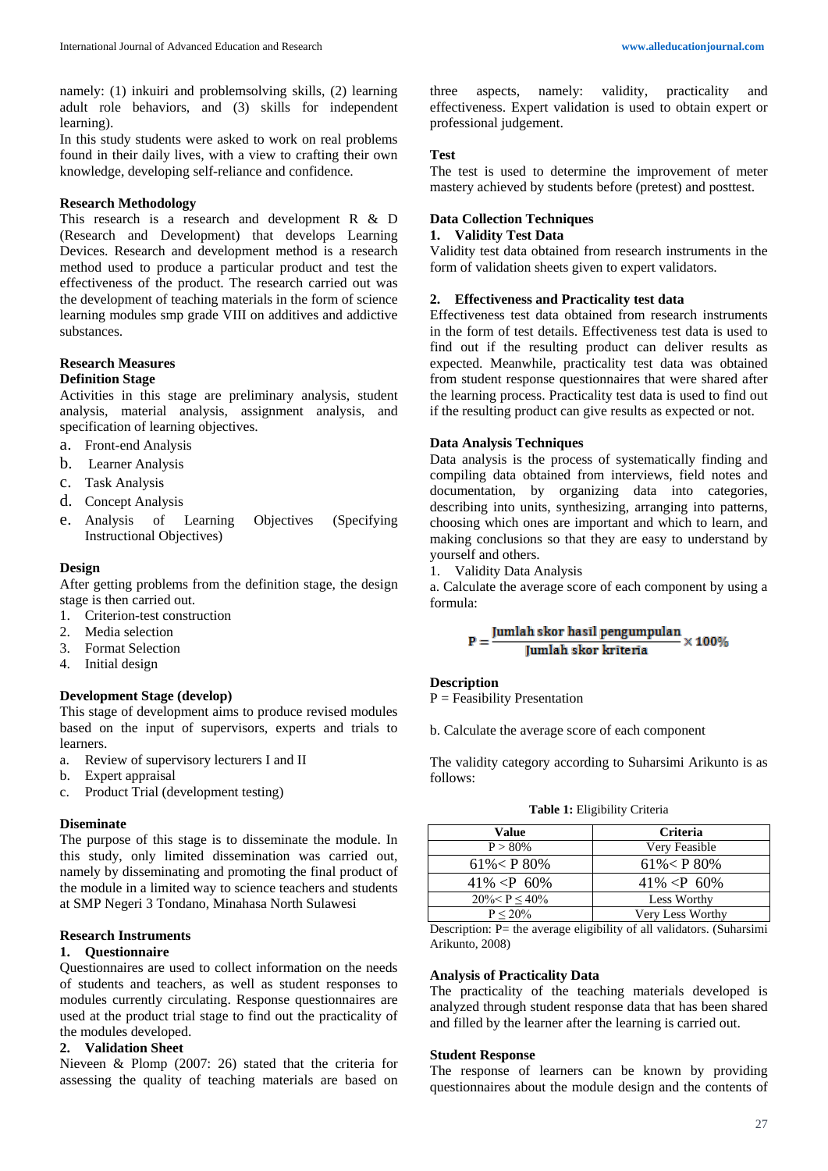namely: (1) inkuiri and problemsolving skills, (2) learning adult role behaviors, and (3) skills for independent learning).

In this study students were asked to work on real problems found in their daily lives, with a view to crafting their own knowledge, developing self-reliance and confidence.

### **Research Methodology**

This research is a research and development R & D (Research and Development) that develops Learning Devices. Research and development method is a research method used to produce a particular product and test the effectiveness of the product. The research carried out was the development of teaching materials in the form of science learning modules smp grade VIII on additives and addictive substances.

#### **Research Measures Definition Stage**

Activities in this stage are preliminary analysis, student analysis, material analysis, assignment analysis, and specification of learning objectives.

- a. Front-end Analysis
- b. Learner Analysis
- c. Task Analysis
- d. Concept Analysis
- e. Analysis of Learning Objectives (Specifying Instructional Objectives)

### **Design**

After getting problems from the definition stage, the design stage is then carried out.

- 1. Criterion-test construction
- 2. Media selection
- 3. Format Selection
- 4. Initial design

## **Development Stage (develop)**

This stage of development aims to produce revised modules based on the input of supervisors, experts and trials to learners.

- a. Review of supervisory lecturers I and II
- b. Expert appraisal
- c. Product Trial (development testing)

#### **Diseminate**

The purpose of this stage is to disseminate the module. In this study, only limited dissemination was carried out, namely by disseminating and promoting the final product of the module in a limited way to science teachers and students at SMP Negeri 3 Tondano, Minahasa North Sulawesi

# **Research Instruments**

### **1. Questionnaire**

Questionnaires are used to collect information on the needs of students and teachers, as well as student responses to modules currently circulating. Response questionnaires are used at the product trial stage to find out the practicality of the modules developed.

# **2. Validation Sheet**

Nieveen & Plomp (2007: 26) stated that the criteria for assessing the quality of teaching materials are based on

three aspects, namely: validity, practicality and effectiveness. Expert validation is used to obtain expert or professional judgement.

#### **Test**

The test is used to determine the improvement of meter mastery achieved by students before (pretest) and posttest.

# **Data Collection Techniques**

# **1. Validity Test Data**

Validity test data obtained from research instruments in the form of validation sheets given to expert validators.

### **2. Effectiveness and Practicality test data**

Effectiveness test data obtained from research instruments in the form of test details. Effectiveness test data is used to find out if the resulting product can deliver results as expected. Meanwhile, practicality test data was obtained from student response questionnaires that were shared after the learning process. Practicality test data is used to find out if the resulting product can give results as expected or not.

#### **Data Analysis Techniques**

Data analysis is the process of systematically finding and compiling data obtained from interviews, field notes and documentation, by organizing data into categories, describing into units, synthesizing, arranging into patterns, choosing which ones are important and which to learn, and making conclusions so that they are easy to understand by yourself and others.

1. Validity Data Analysis

a. Calculate the average score of each component by using a formula:

$$
P = \frac{Jumlah \, skor \, hasil \, pengumpulan}{Jumlah \, skor \, kriteria} \times 100\%
$$

### **Description**

 $P = Feasibility$  Presentation

b. Calculate the average score of each component

The validity category according to Suharsimi Arikunto is as follows:

| Value                             | <b>Criteria</b>  |
|-----------------------------------|------------------|
| $P > 80\%$                        | Very Feasible    |
| $61\% < P80\%$                    | $61\% < P80\%$   |
| 41\% $\langle P \ 60\% \ \rangle$ | $41\% < P$ 60\%  |
| $20\% < P < 40\%$                 | Less Worthy      |
| $P < 20\%$                        | Very Less Worthy |

**Table 1:** Eligibility Criteria

Description:  $P=$  the average eligibility of all validators. (Suharsimi Arikunto, 2008)

### **Analysis of Practicality Data**

The practicality of the teaching materials developed is analyzed through student response data that has been shared and filled by the learner after the learning is carried out.

#### **Student Response**

The response of learners can be known by providing questionnaires about the module design and the contents of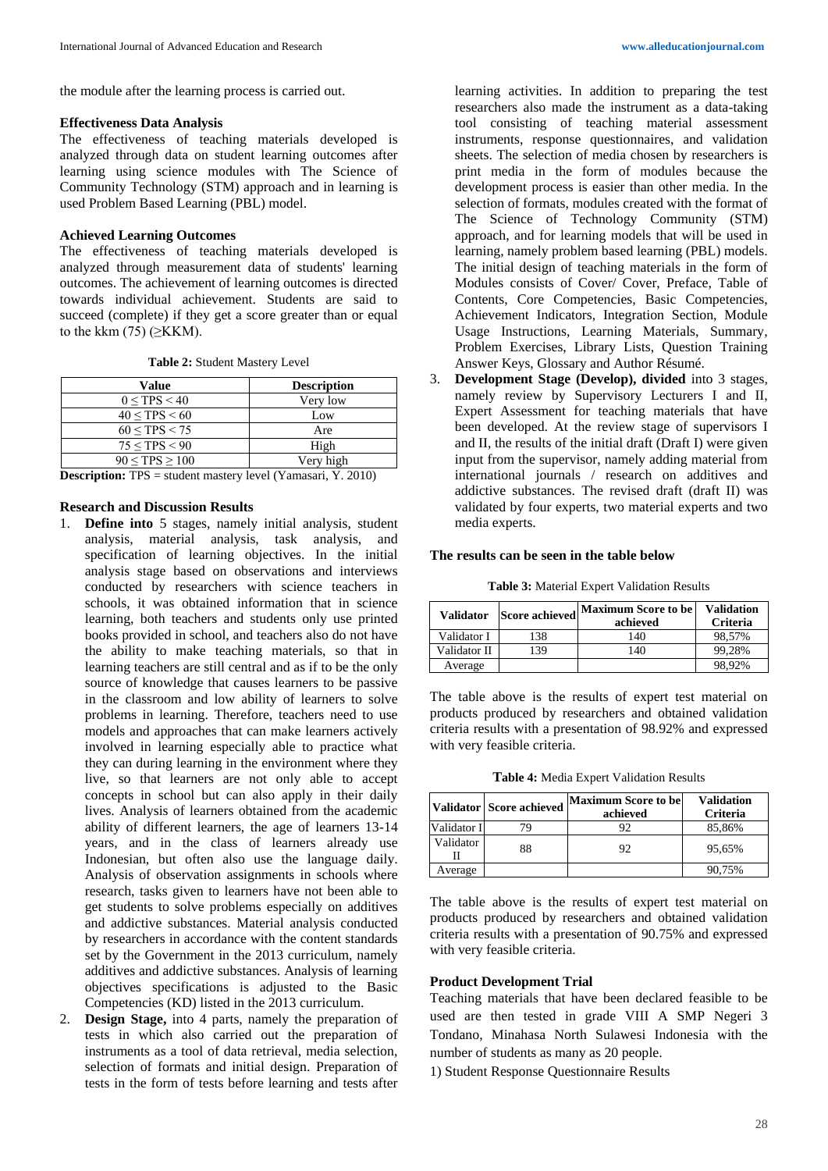#### **Effectiveness Data Analysis**

The effectiveness of teaching materials developed is analyzed through data on student learning outcomes after learning using science modules with The Science of Community Technology (STM) approach and in learning is used Problem Based Learning (PBL) model.

### **Achieved Learning Outcomes**

The effectiveness of teaching materials developed is analyzed through measurement data of students' learning outcomes. The achievement of learning outcomes is directed towards individual achievement. Students are said to succeed (complete) if they get a score greater than or equal to the kkm  $(75)$  ( $\geq$ KKM).

**Table 2:** Student Mastery Level

| Value          | <b>Description</b> |
|----------------|--------------------|
| 0 < TPS < 40   | Very low           |
| 40 < TPS < 60  | Low                |
| 60 < TPS < 75  | Are                |
| 75 < TPS < 90  | High               |
| 90 < TPS > 100 | Verv high          |

**Description:** TPS = student mastery level (Yamasari, Y. 2010)

#### **Research and Discussion Results**

- 1. **Define into** 5 stages, namely initial analysis, student analysis, material analysis, task analysis, and specification of learning objectives. In the initial analysis stage based on observations and interviews conducted by researchers with science teachers in schools, it was obtained information that in science learning, both teachers and students only use printed books provided in school, and teachers also do not have the ability to make teaching materials, so that in learning teachers are still central and as if to be the only source of knowledge that causes learners to be passive in the classroom and low ability of learners to solve problems in learning. Therefore, teachers need to use models and approaches that can make learners actively involved in learning especially able to practice what they can during learning in the environment where they live, so that learners are not only able to accept concepts in school but can also apply in their daily lives. Analysis of learners obtained from the academic ability of different learners, the age of learners 13-14 years, and in the class of learners already use Indonesian, but often also use the language daily. Analysis of observation assignments in schools where research, tasks given to learners have not been able to get students to solve problems especially on additives and addictive substances. Material analysis conducted by researchers in accordance with the content standards set by the Government in the 2013 curriculum, namely additives and addictive substances. Analysis of learning objectives specifications is adjusted to the Basic Competencies (KD) listed in the 2013 curriculum.
- 2. **Design Stage,** into 4 parts, namely the preparation of tests in which also carried out the preparation of instruments as a tool of data retrieval, media selection, selection of formats and initial design. Preparation of tests in the form of tests before learning and tests after

learning activities. In addition to preparing the test researchers also made the instrument as a data-taking tool consisting of teaching material assessment instruments, response questionnaires, and validation sheets. The selection of media chosen by researchers is print media in the form of modules because the development process is easier than other media. In the selection of formats, modules created with the format of The Science of Technology Community (STM) approach, and for learning models that will be used in learning, namely problem based learning (PBL) models. The initial design of teaching materials in the form of Modules consists of Cover/ Cover, Preface, Table of Contents, Core Competencies, Basic Competencies, Achievement Indicators, Integration Section, Module Usage Instructions, Learning Materials, Summary, Problem Exercises, Library Lists, Question Training Answer Keys, Glossary and Author Résumé.

3. **Development Stage (Develop), divided** into 3 stages, namely review by Supervisory Lecturers I and II, Expert Assessment for teaching materials that have been developed. At the review stage of supervisors I and II, the results of the initial draft (Draft I) were given input from the supervisor, namely adding material from international journals / research on additives and addictive substances. The revised draft (draft II) was validated by four experts, two material experts and two media experts.

#### **The results can be seen in the table below**

**Table 3:** Material Expert Validation Results

| <b>Validator</b> | <b>Score achieved</b> | <b>Maximum Score to be</b><br>achieved | <b>Validation</b><br><b>Criteria</b> |
|------------------|-----------------------|----------------------------------------|--------------------------------------|
| Validator I      | 138                   | 140                                    | 98,57%                               |
| Validator II     | 39                    | 140                                    | 99.28%                               |
| Average          |                       |                                        | 98.92%                               |

The table above is the results of expert test material on products produced by researchers and obtained validation criteria results with a presentation of 98.92% and expressed with very feasible criteria.

**Table 4:** Media Expert Validation Results

|             | Validator Score achieved | <b>Maximum Score to be</b><br>achieved | <b>Validation</b><br><b>Criteria</b> |
|-------------|--------------------------|----------------------------------------|--------------------------------------|
| Validator I |                          |                                        | 85,86%                               |
| Validator   | 88                       | 92                                     | 95,65%                               |
| Average     |                          |                                        | 90,75%                               |

The table above is the results of expert test material on products produced by researchers and obtained validation criteria results with a presentation of 90.75% and expressed with very feasible criteria.

# **Product Development Trial**

Teaching materials that have been declared feasible to be used are then tested in grade VIII A SMP Negeri 3 Tondano, Minahasa North Sulawesi Indonesia with the number of students as many as 20 people.

1) Student Response Questionnaire Results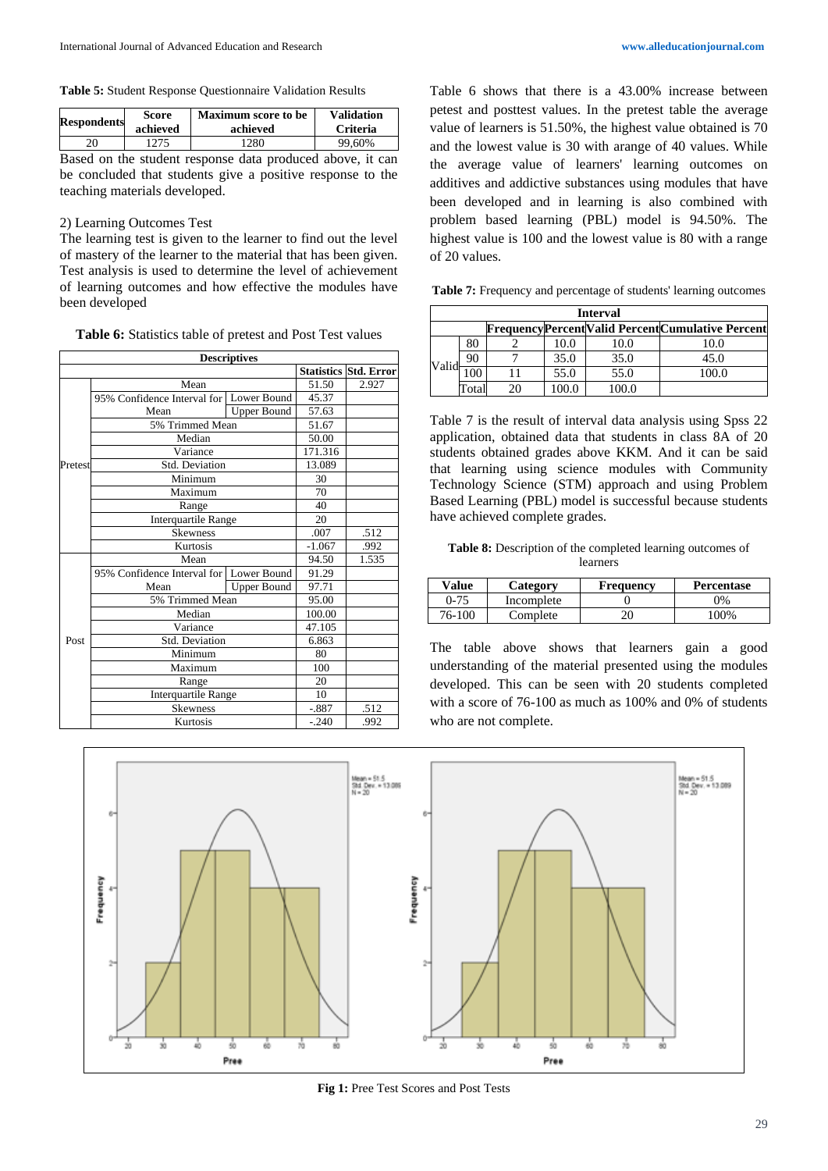**Table 5:** Student Response Questionnaire Validation Results

| <b>Respondents</b> | Score<br>achieved | <b>Maximum</b> score to be<br>achieved | <b>Validation</b><br><b>Criteria</b> |
|--------------------|-------------------|----------------------------------------|--------------------------------------|
|                    | 1275              | 1280                                   | 99.60%                               |
|                    |                   |                                        |                                      |

Based on the student response data produced above, it can be concluded that students give a positive response to the teaching materials developed.

### 2) Learning Outcomes Test

The learning test is given to the learner to find out the level of mastery of the learner to the material that has been given. Test analysis is used to determine the level of achievement of learning outcomes and how effective the modules have been developed

**Table 6:** Statistics table of pretest and Post Test values

|         |                                           | <b>Descriptives</b> |          |                              |
|---------|-------------------------------------------|---------------------|----------|------------------------------|
|         |                                           |                     |          | <b>Statistics Std. Error</b> |
|         | Mean                                      | 51.50               | 2.927    |                              |
|         | 95% Confidence Interval for   Lower Bound |                     | 45.37    |                              |
|         | Mean                                      | <b>Upper Bound</b>  | 57.63    |                              |
|         | 5% Trimmed Mean                           |                     | 51.67    |                              |
|         | Median                                    |                     | 50.00    |                              |
|         | Variance                                  |                     | 171.316  |                              |
| Pretest | <b>Std. Deviation</b>                     |                     | 13.089   |                              |
|         | Minimum                                   |                     | 30       |                              |
|         | Maximum                                   |                     | 70       |                              |
|         | Range                                     |                     | 40       |                              |
|         | Interquartile Range                       |                     | 20       |                              |
|         | <b>Skewness</b>                           | .007                | .512     |                              |
|         | Kurtosis                                  |                     | $-1.067$ | .992                         |
|         | Mean                                      |                     | 94.50    | 1.535                        |
|         | 95% Confidence Interval for               | Lower Bound         | 91.29    |                              |
|         | Mean                                      | <b>Upper Bound</b>  | 97.71    |                              |
|         | 5% Trimmed Mean                           | 95.00               |          |                              |
|         | Median                                    | 100.00              |          |                              |
|         | Variance                                  | 47.105              |          |                              |
| Post    | Std. Deviation                            | 6.863               |          |                              |
|         | Minimum                                   | 80                  |          |                              |
|         | Maximum                                   | 100                 |          |                              |
|         | Range                                     | 20                  |          |                              |
|         | <b>Interquartile Range</b>                | 10                  |          |                              |
|         | <b>Skewness</b>                           | $-.887$             | .512     |                              |
|         | Kurtosis                                  | $-.240$             | .992     |                              |

Table 6 shows that there is a 43.00% increase between petest and posttest values. In the pretest table the average value of learners is 51.50%, the highest value obtained is 70 and the lowest value is 30 with arange of 40 values. While the average value of learners' learning outcomes on additives and addictive substances using modules that have been developed and in learning is also combined with problem based learning (PBL) model is 94.50%. The highest value is 100 and the lowest value is 80 with a range of 20 values.

**Table 7:** Frequency and percentage of students' learning outcomes

|       | <b>Interval</b> |  |      |      |                                                        |  |
|-------|-----------------|--|------|------|--------------------------------------------------------|--|
|       |                 |  |      |      | <b>FrequencyPercentValid PercentCumulative Percent</b> |  |
|       | 80              |  | 10.0 | 10.0 | 10.0                                                   |  |
| Valid | 90              |  | 35.0 | 35.0 | 45.0                                                   |  |
|       |                 |  | 55.0 | 55.0 |                                                        |  |
|       | Total           |  |      |      |                                                        |  |

Table 7 is the result of interval data analysis using Spss 22 application, obtained data that students in class 8A of 20 students obtained grades above KKM. And it can be said that learning using science modules with Community Technology Science (STM) approach and using Problem Based Learning (PBL) model is successful because students have achieved complete grades.

**Table 8:** Description of the completed learning outcomes of learners

| Value    | Category   | Frequency | <b>Percentase</b> |
|----------|------------|-----------|-------------------|
| $0 - 75$ | Incomplete |           | 7%                |
| 76-100   | Complete   |           | 100%              |

The table above shows that learners gain a good understanding of the material presented using the modules developed. This can be seen with 20 students completed with a score of 76-100 as much as 100% and 0% of students who are not complete.



**Fig 1:** Pree Test Scores and Post Tests